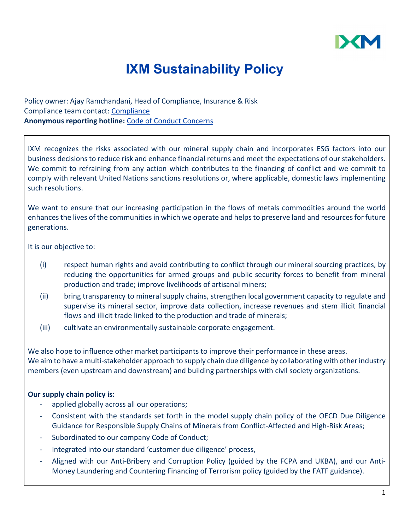

# **IXM Sustainability Policy**

Policy owner: Ajay Ramchandani, Head of Compliance, Insurance & Risk Compliance team contact: [Compliance](mailto:Compliance@ixmetals.com) **Anonymous reporting hotline:** [Code of Conduct Concerns](mailto:codeofconductconcerns@ixmetals.com)

IXM recognizes the risks associated with our mineral supply chain and incorporates ESG factors into our business decisions to reduce risk and enhance financial returns and meet the expectations of our stakeholders. We commit to refraining from any action which contributes to the financing of conflict and we commit to comply with relevant United Nations sanctions resolutions or, where applicable, domestic laws implementing such resolutions.

We want to ensure that our increasing participation in the flows of metals commodities around the world enhances the lives of the communities in which we operate and helps to preserve land and resources for future generations.

It is our objective to:

- (i) respect human rights and avoid contributing to conflict through our mineral sourcing practices, by reducing the opportunities for armed groups and public security forces to benefit from mineral production and trade; improve livelihoods of artisanal miners;
- (ii) bring transparency to mineral supply chains, strengthen local government capacity to regulate and supervise its mineral sector, improve data collection, increase revenues and stem illicit financial flows and illicit trade linked to the production and trade of minerals;
- (iii) cultivate an environmentally sustainable corporate engagement.

We also hope to influence other market participants to improve their performance in these areas. We aim to have a multi-stakeholder approach to supply chain due diligence by collaborating with other industry members (even upstream and downstream) and building partnerships with civil society organizations.

#### **Our supply chain policy is:**

- applied globally across all our operations;
- Consistent with the standards set forth in the model supply chain policy of the OECD Due Diligence Guidance for Responsible Supply Chains of Minerals from Conflict-Affected and High-Risk Areas;
- Subordinated to our company Code of Conduct;
- Integrated into our standard 'customer due diligence' process,
- Aligned with our Anti-Bribery and Corruption Policy (guided by the FCPA and UKBA), and our Anti-Money Laundering and Countering Financing of Terrorism policy (guided by the FATF guidance).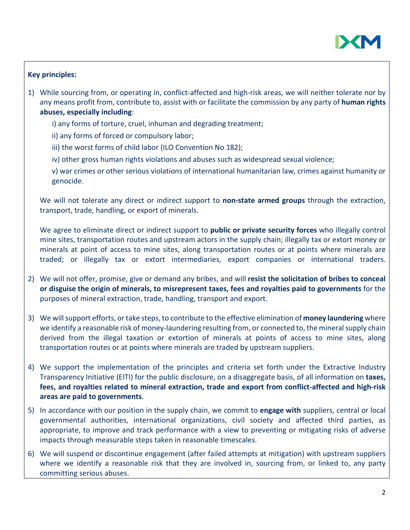

### **Key principles:**

- 1) While sourcing from, or operating in, conflict-affected and high-risk areas, we will neither tolerate nor by any means profit from, contribute to, assist with or facilitate the commission by any party of **human rights abuses, especially including**:
	- i) any forms of torture, cruel, inhuman and degrading treatment;
	- ii) any forms of forced or compulsory labor;
	- iii) the worst forms of child labor (ILO Convention No 182);
	- iv) other gross human rights violations and abuses such as widespread sexual violence;
	- v) war crimes or other serious violations of international humanitarian law, crimes against humanity or genocide.

We will not tolerate any direct or indirect support to **non-state armed groups** through the extraction, transport, trade, handling, or export of minerals.

We agree to eliminate direct or indirect support to **public or private security forces** who illegally control mine sites, transportation routes and upstream actors in the supply chain; illegally tax or extort money or minerals at point of access to mine sites, along transportation routes or at points where minerals are traded; or illegally tax or extort intermediaries, export companies or international traders.

- 2) We will not offer, promise, give or demand any bribes, and will **resist the solicitation of bribes to conceal or disguise the origin of minerals, to misrepresent taxes, fees and royalties paid to governments** for the purposes of mineral extraction, trade, handling, transport and export.
- 3) We will support efforts, or take steps, to contribute to the effective elimination of **money laundering** where we identify a reasonable risk of money-laundering resulting from, or connected to, the mineral supply chain derived from the illegal taxation or extortion of minerals at points of access to mine sites, along transportation routes or at points where minerals are traded by upstream suppliers.
- 4) We support the implementation of the principles and criteria set forth under the Extractive Industry Transparency Initiative (EITI) for the public disclosure, on a disaggregate basis, of all information on **taxes, fees, and royalties related to mineral extraction, trade and export from conflict-affected and high-risk areas are paid to governments**.
- 5) In accordance with our position in the supply chain, we commit to **engage with** suppliers, central or local governmental authorities, international organizations, civil society and affected third parties, as appropriate, to improve and track performance with a view to preventing or mitigating risks of adverse impacts through measurable steps taken in reasonable timescales.
- 6) We will suspend or discontinue engagement (after failed attempts at mitigation) with upstream suppliers where we identify a reasonable risk that they are involved in, sourcing from, or linked to, any party committing serious abuses.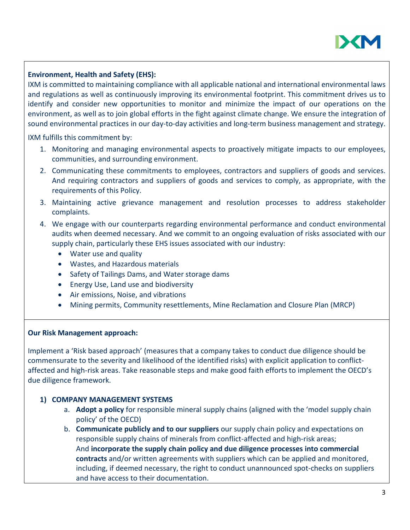

## **Environment, Health and Safety (EHS):**

IXM is committed to maintaining compliance with all applicable national and international environmental laws and regulations as well as continuously improving its environmental footprint. This commitment drives us to identify and consider new opportunities to monitor and minimize the impact of our operations on the environment, as well as to join global efforts in the fight against climate change. We ensure the integration of sound environmental practices in our day-to-day activities and long-term business management and strategy.

IXM fulfills this commitment by:

- 1. Monitoring and managing environmental aspects to proactively mitigate impacts to our employees, communities, and surrounding environment.
- 2. Communicating these commitments to employees, contractors and suppliers of goods and services. And requiring contractors and suppliers of goods and services to comply, as appropriate, with the requirements of this Policy.
- 3. Maintaining active grievance management and resolution processes to address stakeholder complaints.
- 4. We engage with our counterparts regarding environmental performance and conduct environmental audits when deemed necessary. And we commit to an ongoing evaluation of risks associated with our supply chain, particularly these EHS issues associated with our industry:
	- Water use and quality
	- Wastes, and Hazardous materials
	- Safety of Tailings Dams, and Water storage dams
	- Energy Use, Land use and biodiversity
	- Air emissions, Noise, and vibrations
	- Mining permits, Community resettlements, Mine Reclamation and Closure Plan (MRCP)

#### **Our Risk Management approach:**

Implement a 'Risk based approach' (measures that a company takes to conduct due diligence should be commensurate to the severity and likelihood of the identified risks) with explicit application to conflictaffected and high-risk areas. Take reasonable steps and make good faith efforts to implement the OECD's due diligence framework.

#### **1) COMPANY MANAGEMENT SYSTEMS**

- a. **Adopt a policy** for responsible mineral supply chains (aligned with the 'model supply chain policy' of the OECD)
- b. **Communicate publicly and to our suppliers** our supply chain policy and expectations on responsible supply chains of minerals from conflict-affected and high-risk areas; And **incorporate the supply chain policy and due diligence processes into commercial contracts** and/or written agreements with suppliers which can be applied and monitored, including, if deemed necessary, the right to conduct unannounced spot-checks on suppliers and have access to their documentation.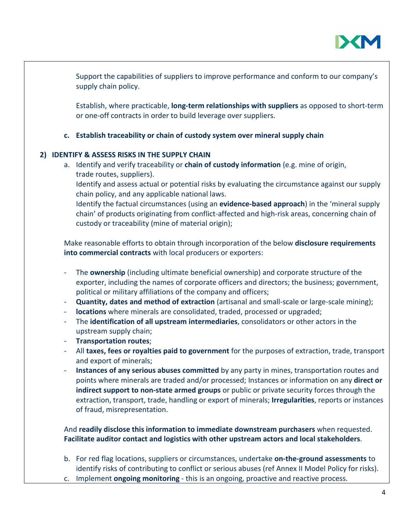

Support the capabilities of suppliers to improve performance and conform to our company's supply chain policy.

Establish, where practicable, **long-term relationships with suppliers** as opposed to short-term or one-off contracts in order to build leverage over suppliers.

**c. Establish traceability or chain of custody system over mineral supply chain**

## **2) IDENTIFY & ASSESS RISKS IN THE SUPPLY CHAIN**

a. Identify and verify traceability or **chain of custody information** (e.g. mine of origin, trade routes, suppliers). Identify and assess actual or potential risks by evaluating the circumstance against our supply chain policy, and any applicable national laws. Identify the factual circumstances (using an **evidence-based approach**) in the 'mineral supply chain' of products originating from conflict-affected and high-risk areas, concerning chain of custody or traceability (mine of material origin);

Make reasonable efforts to obtain through incorporation of the below **disclosure requirements into commercial contracts** with local producers or exporters:

- The **ownership** (including ultimate beneficial ownership) and corporate structure of the exporter, including the names of corporate officers and directors; the business; government, political or military affiliations of the company and officers;
- **Quantity, dates and method of extraction** (artisanal and small-scale or large-scale mining);
- **locations** where minerals are consolidated, traded, processed or upgraded;
- The **identification of all upstream intermediaries**, consolidators or other actors in the upstream supply chain;
- **Transportation routes**;
- All **taxes, fees or royalties paid to government** for the purposes of extraction, trade, transport and export of minerals;
- **Instances of any serious abuses committed** by any party in mines, transportation routes and points where minerals are traded and/or processed; Instances or information on any **direct or indirect support to non-state armed groups** or public or private security forces through the extraction, transport, trade, handling or export of minerals; **Irregularities**, reports or instances of fraud, misrepresentation.

And **readily disclose this information to immediate downstream purchasers** when requested. **Facilitate auditor contact and logistics with other upstream actors and local stakeholders**.

- b. For red flag locations, suppliers or circumstances, undertake **on-the-ground assessments** to identify risks of contributing to conflict or serious abuses (ref Annex II Model Policy for risks).
- c. Implement **ongoing monitoring** this is an ongoing, proactive and reactive process.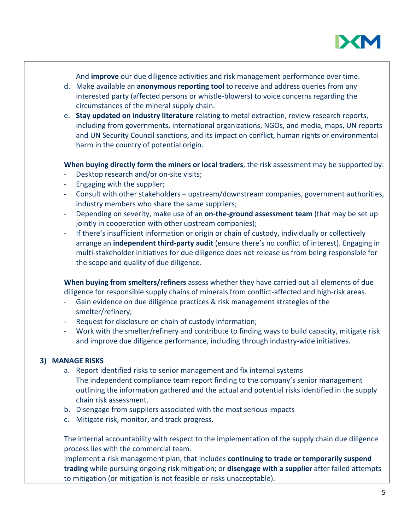

And **improve** our due diligence activities and risk management performance over time.

- d. Make available an **anonymous reporting tool** to receive and address queries from any interested party (affected persons or whistle-blowers) to voice concerns regarding the circumstances of the mineral supply chain.
- e. **Stay updated on industry literature** relating to metal extraction, review research reports, including from governments, international organizations, NGOs, and media, maps, UN reports and UN Security Council sanctions, and its impact on conflict, human rights or environmental harm in the country of potential origin.

## **When buying directly form the miners or local traders**, the risk assessment may be supported by:

- Desktop research and/or on-site visits;
- Engaging with the supplier;
- Consult with other stakeholders upstream/downstream companies, government authorities, industry members who share the same suppliers;
- Depending on severity, make use of an **on-the-ground assessment team** (that may be set up jointly in cooperation with other upstream companies);
- If there's insufficient information or origin or chain of custody, individually or collectively arrange an **independent third-party audit** (ensure there's no conflict of interest). Engaging in multi-stakeholder initiatives for due diligence does not release us from being responsible for the scope and quality of due diligence.

**When buying from smelters/refiners** assess whether they have carried out all elements of due diligence for responsible supply chains of minerals from conflict-affected and high-risk areas.

- Gain evidence on due diligence practices & risk management strategies of the smelter/refinery;
- Request for disclosure on chain of custody information;
- Work with the smelter/refinery and contribute to finding ways to build capacity, mitigate risk and improve due diligence performance, including through industry-wide initiatives.

#### **3) MANAGE RISKS**

- a. Report identified risks to senior management and fix internal systems The independent compliance team report finding to the company's senior management outlining the information gathered and the actual and potential risks identified in the supply chain risk assessment.
- b. Disengage from suppliers associated with the most serious impacts
- c. Mitigate risk, monitor, and track progress.

The internal accountability with respect to the implementation of the supply chain due diligence process lies with the commercial team.

Implement a risk management plan, that includes **continuing to trade or temporarily suspend trading** while pursuing ongoing risk mitigation; or **disengage with a supplier** after failed attempts to mitigation (or mitigation is not feasible or risks unacceptable).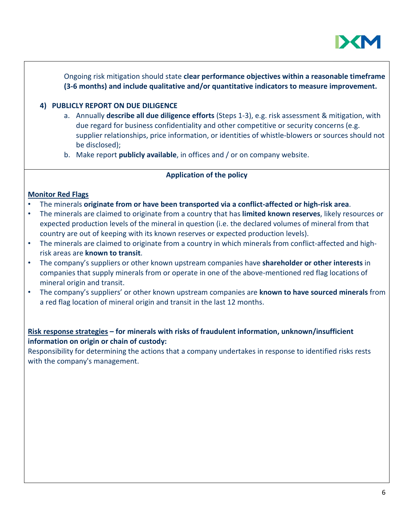

Ongoing risk mitigation should state **clear performance objectives within a reasonable timeframe (3-6 months) and include qualitative and/or quantitative indicators to measure improvement.** 

#### **4) PUBLICLY REPORT ON DUE DILIGENCE**

- a. Annually **describe all due diligence efforts** (Steps 1-3), e.g. risk assessment & mitigation, with due regard for business confidentiality and other competitive or security concerns (e.g. supplier relationships, price information, or identities of whistle-blowers or sources should not be disclosed);
- b. Make report **publicly available**, in offices and / or on company website.

#### **Application of the policy**

#### **Monitor Red Flags**

- The minerals **originate from or have been transported via a conflict-affected or high-risk area**.
- The minerals are claimed to originate from a country that has **limited known reserves**, likely resources or expected production levels of the mineral in question (i.e. the declared volumes of mineral from that country are out of keeping with its known reserves or expected production levels).
- The minerals are claimed to originate from a country in which minerals from conflict-affected and highrisk areas are **known to transit**.
- The company's suppliers or other known upstream companies have **shareholder or other interests** in companies that supply minerals from or operate in one of the above-mentioned red flag locations of mineral origin and transit.
- The company's suppliers' or other known upstream companies are **known to have sourced minerals** from a red flag location of mineral origin and transit in the last 12 months.

### **Risk response strategies – for minerals with risks of fraudulent information, unknown/insufficient information on origin or chain of custody:**

Responsibility for determining the actions that a company undertakes in response to identified risks rests with the company's management.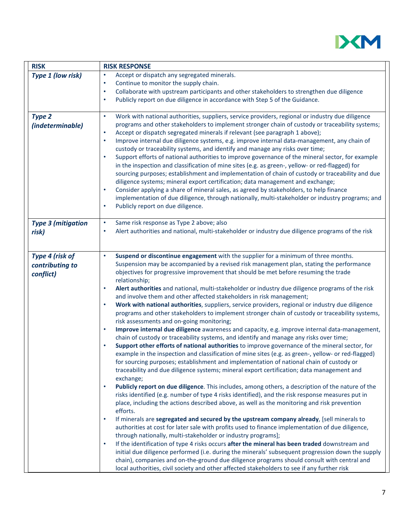

| <b>RISK</b>                                     | <b>RISK RESPONSE</b>                                                                                                                                                                                                                                                                                                                                                                                                                                                                                                                                                                                                                                                                                                                                                                                                                                                                                                                                                                                                                                                                                                                                                                                                                                                                                                                                                                                                                                                                                                                                                                                                                                                                                                                                                                                                                                                                                                                                                                                                                                                                                                                                                                                                                                                                                                                                                                                                            |
|-------------------------------------------------|---------------------------------------------------------------------------------------------------------------------------------------------------------------------------------------------------------------------------------------------------------------------------------------------------------------------------------------------------------------------------------------------------------------------------------------------------------------------------------------------------------------------------------------------------------------------------------------------------------------------------------------------------------------------------------------------------------------------------------------------------------------------------------------------------------------------------------------------------------------------------------------------------------------------------------------------------------------------------------------------------------------------------------------------------------------------------------------------------------------------------------------------------------------------------------------------------------------------------------------------------------------------------------------------------------------------------------------------------------------------------------------------------------------------------------------------------------------------------------------------------------------------------------------------------------------------------------------------------------------------------------------------------------------------------------------------------------------------------------------------------------------------------------------------------------------------------------------------------------------------------------------------------------------------------------------------------------------------------------------------------------------------------------------------------------------------------------------------------------------------------------------------------------------------------------------------------------------------------------------------------------------------------------------------------------------------------------------------------------------------------------------------------------------------------------|
| Type 1 (low risk)                               | Accept or dispatch any segregated minerals.<br>٠<br>Continue to monitor the supply chain.<br>$\bullet$<br>Collaborate with upstream participants and other stakeholders to strengthen due diligence<br>$\bullet$<br>Publicly report on due diligence in accordance with Step 5 of the Guidance.<br>$\bullet$                                                                                                                                                                                                                                                                                                                                                                                                                                                                                                                                                                                                                                                                                                                                                                                                                                                                                                                                                                                                                                                                                                                                                                                                                                                                                                                                                                                                                                                                                                                                                                                                                                                                                                                                                                                                                                                                                                                                                                                                                                                                                                                    |
| <b>Type 2</b><br>(indeterminable)               | Work with national authorities, suppliers, service providers, regional or industry due diligence<br>$\bullet$<br>programs and other stakeholders to implement stronger chain of custody or traceability systems;<br>$\bullet$<br>Accept or dispatch segregated minerals if relevant (see paragraph 1 above);<br>Improve internal due diligence systems, e.g. improve internal data-management, any chain of<br>$\bullet$<br>custody or traceability systems, and identify and manage any risks over time;<br>$\bullet$<br>Support efforts of national authorities to improve governance of the mineral sector, for example<br>in the inspection and classification of mine sites (e.g. as green-, yellow- or red-flagged) for<br>sourcing purposes; establishment and implementation of chain of custody or traceability and due<br>diligence systems; mineral export certification; data management and exchange;<br>Consider applying a share of mineral sales, as agreed by stakeholders, to help finance<br>$\bullet$<br>implementation of due diligence, through nationally, multi-stakeholder or industry programs; and<br>Publicly report on due diligence.<br>$\bullet$                                                                                                                                                                                                                                                                                                                                                                                                                                                                                                                                                                                                                                                                                                                                                                                                                                                                                                                                                                                                                                                                                                                                                                                                                                                 |
| <b>Type 3 (mitigation</b><br>risk)              | Same risk response as Type 2 above; also<br>$\bullet$<br>Alert authorities and national, multi-stakeholder or industry due diligence programs of the risk<br>٠                                                                                                                                                                                                                                                                                                                                                                                                                                                                                                                                                                                                                                                                                                                                                                                                                                                                                                                                                                                                                                                                                                                                                                                                                                                                                                                                                                                                                                                                                                                                                                                                                                                                                                                                                                                                                                                                                                                                                                                                                                                                                                                                                                                                                                                                  |
| Type 4 (risk of<br>contributing to<br>conflict) | Suspend or discontinue engagement with the supplier for a minimum of three months.<br>$\bullet$<br>Suspension may be accompanied by a revised risk management plan, stating the performance<br>objectives for progressive improvement that should be met before resuming the trade<br>relationship;<br>Alert authorities and national, multi-stakeholder or industry due diligence programs of the risk<br>$\bullet$<br>and involve them and other affected stakeholders in risk management;<br>Work with national authorities, suppliers, service providers, regional or industry due diligence<br>$\bullet$<br>programs and other stakeholders to implement stronger chain of custody or traceability systems,<br>risk assessments and on-going monitoring;<br>Improve internal due diligence awareness and capacity, e.g. improve internal data-management,<br>$\bullet$<br>chain of custody or traceability systems, and identify and manage any risks over time;<br>Support other efforts of national authorities to improve governance of the mineral sector, for<br>$\bullet$<br>example in the inspection and classification of mine sites (e.g. as green-, yellow- or red-flagged)<br>for sourcing purposes; establishment and implementation of national chain of custody or<br>traceability and due diligence systems; mineral export certification; data management and<br>exchange;<br>Publicly report on due diligence. This includes, among others, a description of the nature of the<br>$\bullet$<br>risks identified (e.g. number of type 4 risks identified), and the risk response measures put in<br>place, including the actions described above, as well as the monitoring and risk prevention<br>efforts.<br>If minerals are segregated and secured by the upstream company already, [sell minerals to<br>$\bullet$<br>authorities at cost for later sale with profits used to finance implementation of due diligence,<br>through nationally, multi-stakeholder or industry programs];<br>If the identification of type 4 risks occurs after the mineral has been traded downstream and<br>$\bullet$<br>initial due diligence performed (i.e. during the minerals' subsequent progression down the supply<br>chain), companies and on-the-ground due diligence programs should consult with central and<br>local authorities, civil society and other affected stakeholders to see if any further risk |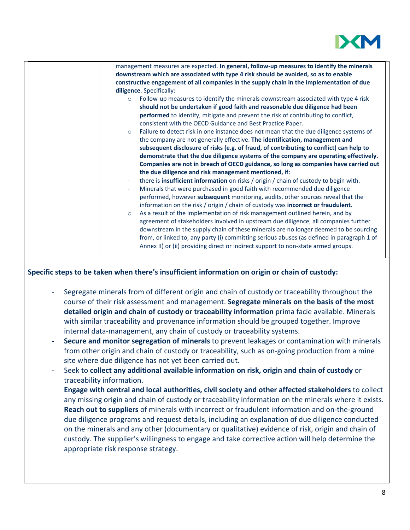

| management measures are expected. In general, follow-up measures to identify the minerals                                                                                                                                                                                                                                                                                                                                                                                                                                                                                                                                                                                                                                                                                                                                                                                                                                                                                                                                                                                                                                                                                                                                                                                                                                                                                                                                                                                                                                                                                                              |
|--------------------------------------------------------------------------------------------------------------------------------------------------------------------------------------------------------------------------------------------------------------------------------------------------------------------------------------------------------------------------------------------------------------------------------------------------------------------------------------------------------------------------------------------------------------------------------------------------------------------------------------------------------------------------------------------------------------------------------------------------------------------------------------------------------------------------------------------------------------------------------------------------------------------------------------------------------------------------------------------------------------------------------------------------------------------------------------------------------------------------------------------------------------------------------------------------------------------------------------------------------------------------------------------------------------------------------------------------------------------------------------------------------------------------------------------------------------------------------------------------------------------------------------------------------------------------------------------------------|
| downstream which are associated with type 4 risk should be avoided, so as to enable                                                                                                                                                                                                                                                                                                                                                                                                                                                                                                                                                                                                                                                                                                                                                                                                                                                                                                                                                                                                                                                                                                                                                                                                                                                                                                                                                                                                                                                                                                                    |
| constructive engagement of all companies in the supply chain in the implementation of due                                                                                                                                                                                                                                                                                                                                                                                                                                                                                                                                                                                                                                                                                                                                                                                                                                                                                                                                                                                                                                                                                                                                                                                                                                                                                                                                                                                                                                                                                                              |
| diligence. Specifically:                                                                                                                                                                                                                                                                                                                                                                                                                                                                                                                                                                                                                                                                                                                                                                                                                                                                                                                                                                                                                                                                                                                                                                                                                                                                                                                                                                                                                                                                                                                                                                               |
| Follow-up measures to identify the minerals downstream associated with type 4 risk<br>$\circ$<br>should not be undertaken if good faith and reasonable due diligence had been<br>performed to identify, mitigate and prevent the risk of contributing to conflict,<br>consistent with the OECD Guidance and Best Practice Paper.<br>Failure to detect risk in one instance does not mean that the due diligence systems of<br>$\circ$<br>the company are not generally effective. The identification, management and<br>subsequent disclosure of risks (e.g. of fraud, of contributing to conflict) can help to<br>demonstrate that the due diligence systems of the company are operating effectively.<br>Companies are not in breach of OECD guidance, so long as companies have carried out<br>the due diligence and risk management mentioned, if:<br>there is insufficient information on risks / origin / chain of custody to begin with.<br>$\overline{\phantom{a}}$<br>Minerals that were purchased in good faith with recommended due diligence<br>performed, however subsequent monitoring, audits, other sources reveal that the<br>information on the risk / origin / chain of custody was incorrect or fraudulent.<br>As a result of the implementation of risk management outlined herein, and by<br>$\circ$<br>agreement of stakeholders involved in upstream due diligence, all companies further<br>downstream in the supply chain of these minerals are no longer deemed to be sourcing<br>from, or linked to, any party (i) committing serious abuses (as defined in paragraph 1 of |
| Annex II) or (ii) providing direct or indirect support to non-state armed groups.                                                                                                                                                                                                                                                                                                                                                                                                                                                                                                                                                                                                                                                                                                                                                                                                                                                                                                                                                                                                                                                                                                                                                                                                                                                                                                                                                                                                                                                                                                                      |

#### **Specific steps to be taken when there's insufficient information on origin or chain of custody:**

- Segregate minerals from of different origin and chain of custody or traceability throughout the course of their risk assessment and management. **Segregate minerals on the basis of the most detailed origin and chain of custody or traceability information** prima facie available. Minerals with similar traceability and provenance information should be grouped together. Improve internal data-management, any chain of custody or traceability systems.
- **Secure and monitor segregation of minerals** to prevent leakages or contamination with minerals from other origin and chain of custody or traceability, such as on-going production from a mine site where due diligence has not yet been carried out.
- Seek to **collect any additional available information on risk, origin and chain of custody** or traceability information.
	- **Engage with central and local authorities, civil society and other affected stakeholders** to collect any missing origin and chain of custody or traceability information on the minerals where it exists. **Reach out to suppliers** of minerals with incorrect or fraudulent information and on-the-ground due diligence programs and request details, including an explanation of due diligence conducted on the minerals and any other (documentary or qualitative) evidence of risk, origin and chain of custody. The supplier's willingness to engage and take corrective action will help determine the appropriate risk response strategy.